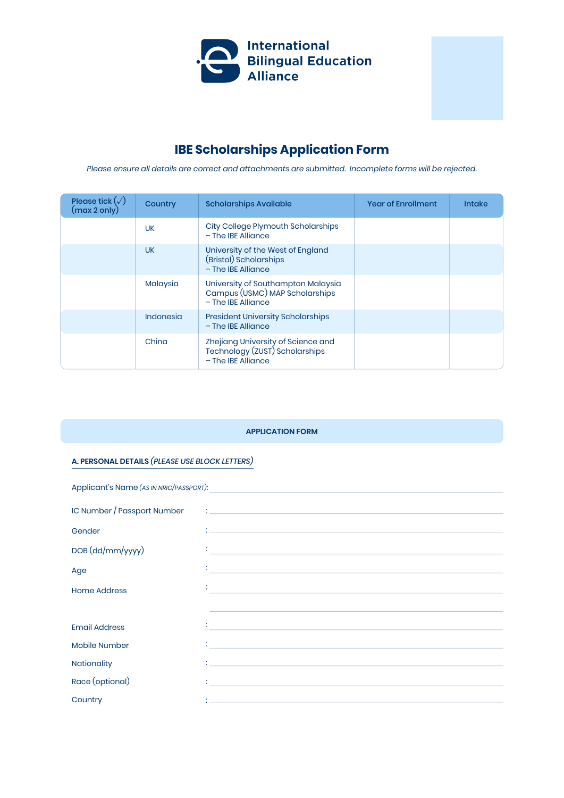

# **IBE Scholarships Application Form**

*Please ensure all details are correct and attachments are submitted. Incomplete forms will be rejected.*

| Please tick $(\sqrt{ } )$<br>(max 2 only) | Country   | <b>Scholarships Available</b>                                                                | <b>Year of Enrollment</b> | <b>Intake</b> |
|-------------------------------------------|-----------|----------------------------------------------------------------------------------------------|---------------------------|---------------|
|                                           | <b>UK</b> | City College Plymouth Scholarships<br>- The IBE Alliance                                     |                           |               |
|                                           | <b>UK</b> | University of the West of England<br>(Bristol) Scholarships<br>$-$ The IBE Alliance          |                           |               |
|                                           | Malaysia  | University of Southampton Malaysia<br>Campus (USMC) MAP Scholarships<br>$-$ The IBE Alliance |                           |               |
|                                           | Indonesia | <b>President University Scholarships</b><br>$-$ The IBE Alliance                             |                           |               |
|                                           | China     | Zhejiang University of Science and<br>Technology (ZUST) Scholarships<br>$-$ The IBE Alliance |                           |               |

## **APPLICATION FORM**

## **A. PERSONAL DETAILS** *(PLEASE USE BLOCK LETTERS)*

| Applicant's Name (AS IN NRIC/PASSPORT):<br><u> 1989 - Johann Stein, mars an deus Amerikaansk kommunister (</u> |                                                                                                                                                                                                                                      |  |  |
|----------------------------------------------------------------------------------------------------------------|--------------------------------------------------------------------------------------------------------------------------------------------------------------------------------------------------------------------------------------|--|--|
| IC Number / Passport Number                                                                                    |                                                                                                                                                                                                                                      |  |  |
| Gender                                                                                                         |                                                                                                                                                                                                                                      |  |  |
| DOB (dd/mm/yyyy)                                                                                               |                                                                                                                                                                                                                                      |  |  |
| Age                                                                                                            | <u> : a construction de la construction de la construction de la construction de la construction de la construction de la construction de la construction de la construction de la construction de la construction de la constru</u> |  |  |
| <b>Home Address</b>                                                                                            |                                                                                                                                                                                                                                      |  |  |
|                                                                                                                |                                                                                                                                                                                                                                      |  |  |
| <b>Email Address</b>                                                                                           | <u> 1989 - Johann Barn, amerikansk politiker (d. 1989)</u>                                                                                                                                                                           |  |  |
| Mobile Number                                                                                                  | <u> 1988 - Johann Stein, maritan amerikan basar personal dan berasal dan basar personal dan basar personal dan b</u>                                                                                                                 |  |  |
| Nationality                                                                                                    | $\frac{1}{2}$ , the state of the state of the state of the state of the state of the state of the state of the state of the state of the state of the state of the state of the state of the state of the state of the state of t    |  |  |
| Race (optional)                                                                                                | the contract of the contract of the contract of the contract of the contract of the contract of the contract of                                                                                                                      |  |  |
| Country                                                                                                        | <u> 1989 - Johann Stoff, amerikansk politiker (d. 1989)</u>                                                                                                                                                                          |  |  |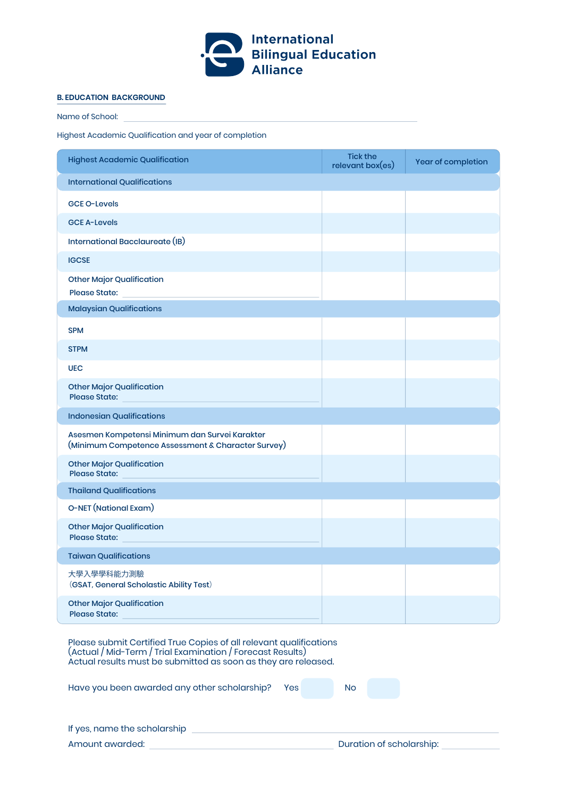

## **B. EDUCATION BACKGROUND**

Name of School:

Highest Academic Qualification and year of completion

| <b>Highest Academic Qualification</b>                                                                | <b>Tick the</b><br>relevant box(es) | Year of completion |
|------------------------------------------------------------------------------------------------------|-------------------------------------|--------------------|
| <b>International Qualifications</b>                                                                  |                                     |                    |
| <b>GCE O-Levels</b>                                                                                  |                                     |                    |
| <b>GCE A-Levels</b>                                                                                  |                                     |                    |
| International Bacclaureate (IB)                                                                      |                                     |                    |
| <b>IGCSE</b>                                                                                         |                                     |                    |
| <b>Other Major Qualification</b><br><b>Please State:</b>                                             |                                     |                    |
| <b>Malaysian Qualifications</b>                                                                      |                                     |                    |
| <b>SPM</b>                                                                                           |                                     |                    |
| <b>STPM</b>                                                                                          |                                     |                    |
| <b>UEC</b>                                                                                           |                                     |                    |
| <b>Other Major Qualification</b><br><b>Please State:</b>                                             |                                     |                    |
| <b>Indonesian Qualifications</b>                                                                     |                                     |                    |
| Asesmen Kompetensi Minimum dan Survei Karakter<br>(Minimum Competence Assessment & Character Survey) |                                     |                    |
| <b>Other Major Qualification</b><br><b>Please State:</b>                                             |                                     |                    |
| <b>Thailand Qualifications</b>                                                                       |                                     |                    |
| <b>O-NET</b> (National Exam)                                                                         |                                     |                    |
| <b>Other Major Qualification</b><br><b>Please State:</b>                                             |                                     |                    |
| <b>Taiwan Qualifications</b>                                                                         |                                     |                    |
| 大學入學學科能力測驗<br>(GSAT, General Scholastic Ability Test)                                                |                                     |                    |
| <b>Other Major Qualification</b><br><b>Please State:</b>                                             |                                     |                    |

Please submit Certified True Copies of all relevant qualifications (Actual / Mid-Term / Trial Examination / Forecast Results) Actual results must be submitted as soon as they are released.

| Have you been awarded any other scholarship? Yes |  | No. |  |  |
|--------------------------------------------------|--|-----|--|--|
|                                                  |  |     |  |  |

| If yes, name the scholarship |  |
|------------------------------|--|
| Amount awarded:              |  |

Duration of scholarship: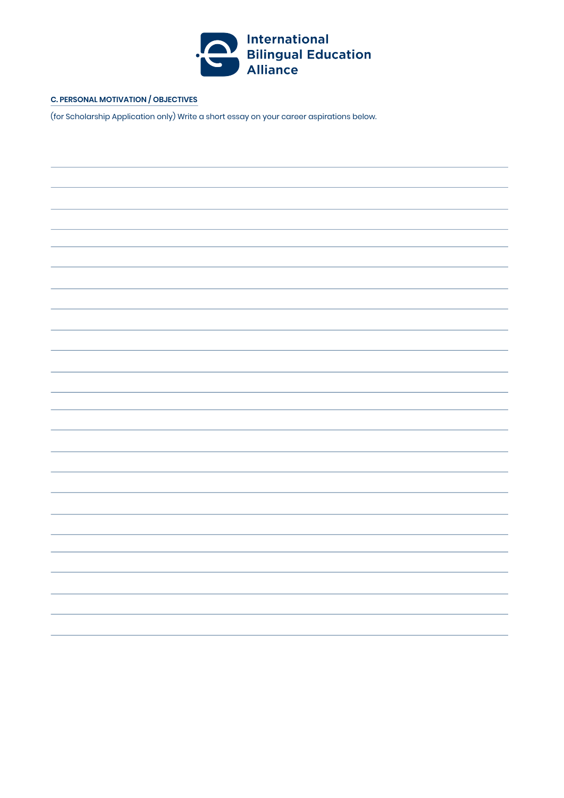

## **C. PERSONAL MOTIVATION / OBJECTIVES**

(for Scholarship Application only) Write a short essay on your career aspirations below.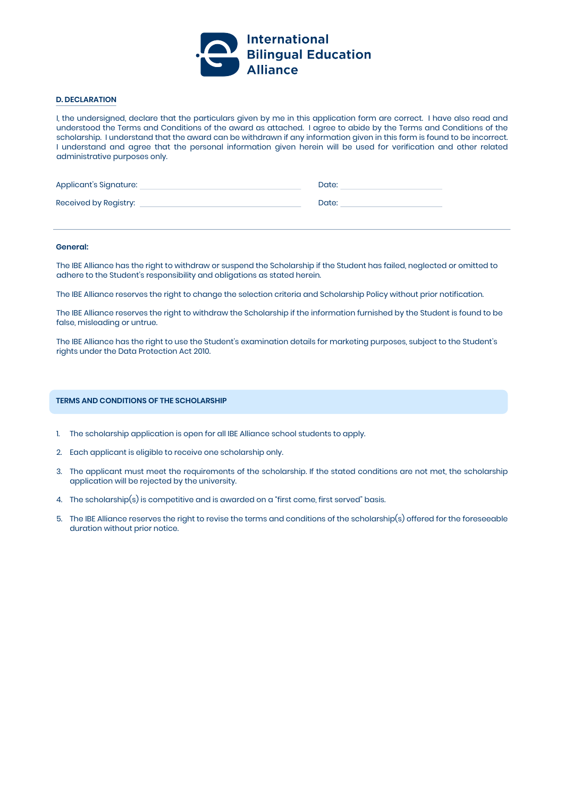

## **D. DECLARATION**

I, the undersigned, declare that the particulars given by me in this application form are correct. I have also read and understood the Terms and Conditions of the award as attached. I agree to abide by the Terms and Conditions of the scholarship. I understand that the award can be withdrawn if any information given in this form is found to be incorrect. I understand and agree that the personal information given herein will be used for verification and other related administrative purposes only.

| Applicant's Signature: | Date: |
|------------------------|-------|
| Received by Registry:  | Date: |

#### **General:**

The IBE Alliance has the right to withdraw or suspend the Scholarship if the Student has failed, neglected or omitted to adhere to the Student's responsibility and obligations as stated herein.

The IBE Alliance reserves the right to change the selection criteria and Scholarship Policy without prior notification.

The IBE Alliance reserves the right to withdraw the Scholarship if the information furnished by the Student is found to be false, misleading or untrue.

The IBE Alliance has the right to use the Student's examination details for marketing purposes, subject to the Student's rights under the Data Protection Act 2010.

## **TERMS AND CONDITIONS OF THE SCHOLARSHIP**

- 1. The scholarship application is open for all IBE Alliance school students to apply.
- Each applicant is eligible to receive one scholarship only. 2.
- 3. The applicant must meet the requirements of the scholarship. If the stated conditions are not met, the scholarship application will be rejected by the university.
- 4. The scholarship(s) is competitive and is awarded on a "first come, first served" basis.
- $5. \ \ \hbox{The IBE Alliance reserves the right to revise the terms and conditions of the scholarship(s) offered for the foreseedble.}$ duration without prior notice.